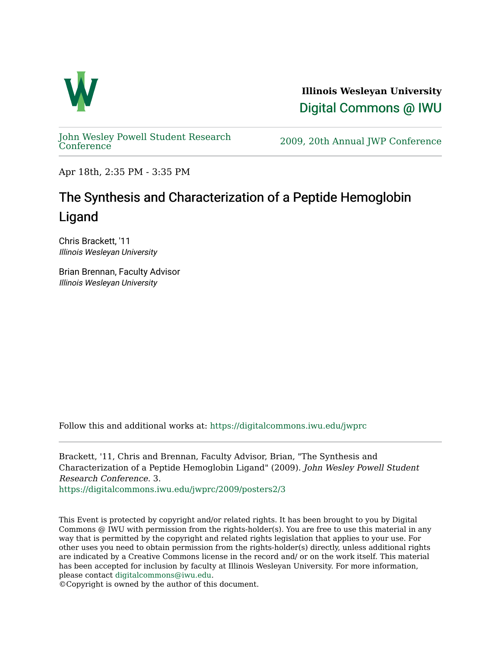

**Illinois Wesleyan University**  [Digital Commons @ IWU](https://digitalcommons.iwu.edu/) 

[John Wesley Powell Student Research](https://digitalcommons.iwu.edu/jwprc) 

2009, 20th Annual JWP [Conference](https://digitalcommons.iwu.edu/jwprc)

Apr 18th, 2:35 PM - 3:35 PM

## The Synthesis and Characterization of a Peptide Hemoglobin Ligand

Chris Brackett, '11 Illinois Wesleyan University

Brian Brennan, Faculty Advisor Illinois Wesleyan University

Follow this and additional works at: [https://digitalcommons.iwu.edu/jwprc](https://digitalcommons.iwu.edu/jwprc?utm_source=digitalcommons.iwu.edu%2Fjwprc%2F2009%2Fposters2%2F3&utm_medium=PDF&utm_campaign=PDFCoverPages) 

Brackett, '11, Chris and Brennan, Faculty Advisor, Brian, "The Synthesis and Characterization of a Peptide Hemoglobin Ligand" (2009). John Wesley Powell Student Research Conference. 3.

[https://digitalcommons.iwu.edu/jwprc/2009/posters2/3](https://digitalcommons.iwu.edu/jwprc/2009/posters2/3?utm_source=digitalcommons.iwu.edu%2Fjwprc%2F2009%2Fposters2%2F3&utm_medium=PDF&utm_campaign=PDFCoverPages)

This Event is protected by copyright and/or related rights. It has been brought to you by Digital Commons @ IWU with permission from the rights-holder(s). You are free to use this material in any way that is permitted by the copyright and related rights legislation that applies to your use. For other uses you need to obtain permission from the rights-holder(s) directly, unless additional rights are indicated by a Creative Commons license in the record and/ or on the work itself. This material has been accepted for inclusion by faculty at Illinois Wesleyan University. For more information, please contact [digitalcommons@iwu.edu.](mailto:digitalcommons@iwu.edu)

©Copyright is owned by the author of this document.